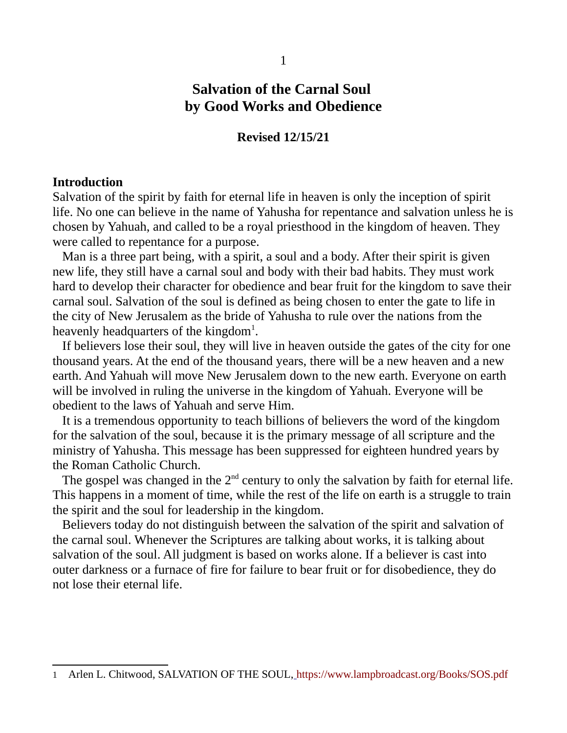# **Salvation of the Carnal Soul by Good Works and Obedience**

### **Revised 12/15/21**

#### **Introduction**

Salvation of the spirit by faith for eternal life in heaven is only the inception of spirit life. No one can believe in the name of Yahusha for repentance and salvation unless he is chosen by Yahuah, and called to be a royal priesthood in the kingdom of heaven. They were called to repentance for a purpose.

 Man is a three part being, with a spirit, a soul and a body. After their spirit is given new life, they still have a carnal soul and body with their bad habits. They must work hard to develop their character for obedience and bear fruit for the kingdom to save their carnal soul. Salvation of the soul is defined as being chosen to enter the gate to life in the city of New Jerusalem as the bride of Yahusha to rule over the nations from the heavenly headquarters of the kingdom<sup>[1](#page-0-0)</sup>.

 If believers lose their soul, they will live in heaven outside the gates of the city for one thousand years. At the end of the thousand years, there will be a new heaven and a new earth. And Yahuah will move New Jerusalem down to the new earth. Everyone on earth will be involved in ruling the universe in the kingdom of Yahuah. Everyone will be obedient to the laws of Yahuah and serve Him.

 It is a tremendous opportunity to teach billions of believers the word of the kingdom for the salvation of the soul, because it is the primary message of all scripture and the ministry of Yahusha. This message has been suppressed for eighteen hundred years by the Roman Catholic Church.

The gospel was changed in the  $2<sup>nd</sup>$  century to only the salvation by faith for eternal life. This happens in a moment of time, while the rest of the life on earth is a struggle to train the spirit and the soul for leadership in the kingdom.

 Believers today do not distinguish between the salvation of the spirit and salvation of the carnal soul. Whenever the Scriptures are talking about works, it is talking about salvation of the soul. All judgment is based on works alone. If a believer is cast into outer darkness or a furnace of fire for failure to bear fruit or for disobedience, they do not lose their eternal life.

<span id="page-0-0"></span><sup>1</sup> Arlen L. Chitwood, SALVATION OF THE SOUL, <https://www.lampbroadcast.org/Books/SOS.pdf>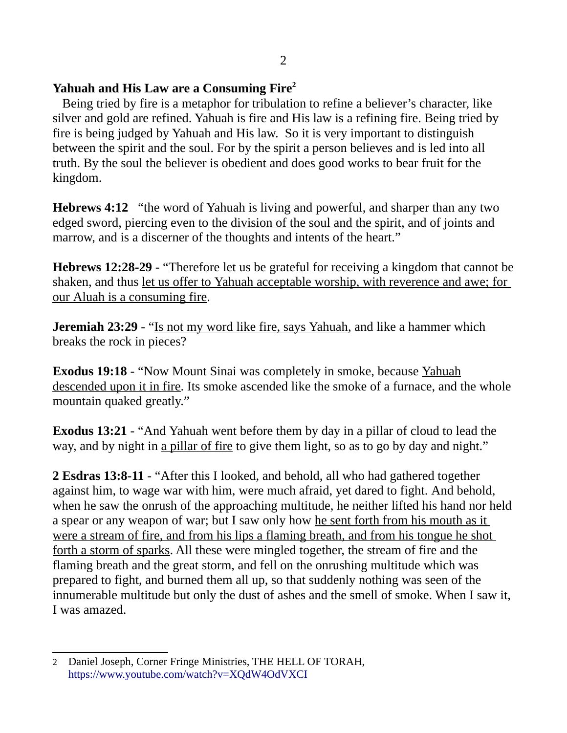## **Yahuah and His Law are a Consuming Fire[2](#page-1-0)**

 Being tried by fire is a metaphor for tribulation to refine a believer's character, like silver and gold are refined. Yahuah is fire and His law is a refining fire. Being tried by fire is being judged by Yahuah and His law. So it is very important to distinguish between the spirit and the soul. For by the spirit a person believes and is led into all truth. By the soul the believer is obedient and does good works to bear fruit for the kingdom.

**Hebrews 4:12** "the word of Yahuah is living and powerful, and sharper than any two edged sword, piercing even to the division of the soul and the spirit, and of joints and marrow, and is a discerner of the thoughts and intents of the heart."

**Hebrews 12:28-29** - "Therefore let us be grateful for receiving a kingdom that cannot be shaken, and thus let us offer to Yahuah acceptable worship, with reverence and awe; for our Aluah is a consuming fire.

**Jeremiah 23:29** - "Is not my word like fire, says Yahuah, and like a hammer which breaks the rock in pieces?

**Exodus 19:18** - "Now Mount Sinai was completely in smoke, because Yahuah descended upon it in fire. Its smoke ascended like the smoke of a furnace, and the whole mountain quaked greatly."

**Exodus 13:21** - "And Yahuah went before them by day in a pillar of cloud to lead the way, and by night in a pillar of fire to give them light, so as to go by day and night."

**2 Esdras 13:8-11** - "After this I looked, and behold, all who had gathered together against him, to wage war with him, were much afraid, yet dared to fight. And behold, when he saw the onrush of the approaching multitude, he neither lifted his hand nor held a spear or any weapon of war; but I saw only how he sent forth from his mouth as it were a stream of fire, and from his lips a flaming breath, and from his tongue he shot forth a storm of sparks. All these were mingled together, the stream of fire and the flaming breath and the great storm, and fell on the onrushing multitude which was prepared to fight, and burned them all up, so that suddenly nothing was seen of the innumerable multitude but only the dust of ashes and the smell of smoke. When I saw it, I was amazed.

<span id="page-1-0"></span><sup>2</sup> Daniel Joseph, Corner Fringe Ministries, THE HELL OF TORAH, <https://www.youtube.com/watch?v=XQdW4OdVXCI>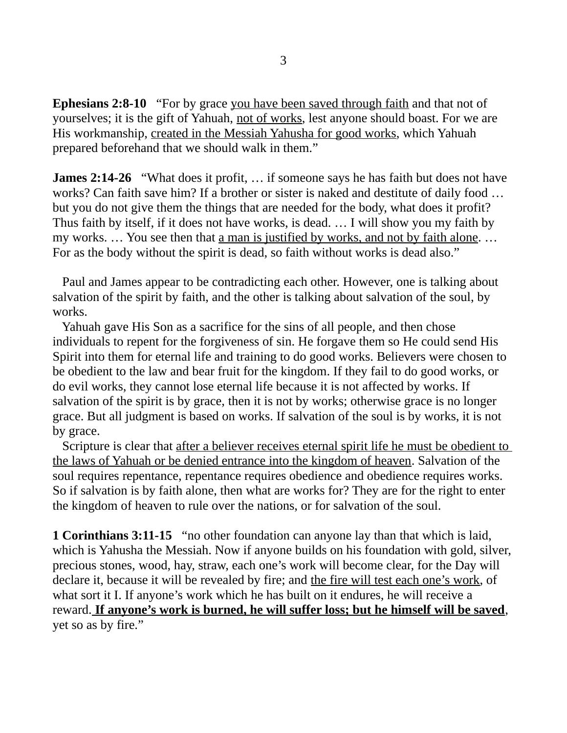**Ephesians 2:8-10** "For by grace you have been saved through faith and that not of yourselves; it is the gift of Yahuah, not of works, lest anyone should boast. For we are His workmanship, created in the Messiah Yahusha for good works, which Yahuah prepared beforehand that we should walk in them."

**James 2:14-26** "What does it profit, ... if someone says he has faith but does not have works? Can faith save him? If a brother or sister is naked and destitute of daily food … but you do not give them the things that are needed for the body, what does it profit? Thus faith by itself, if it does not have works, is dead. … I will show you my faith by my works. ... You see then that <u>a man is justified by works, and not by faith alone</u>. ... For as the body without the spirit is dead, so faith without works is dead also."

 Paul and James appear to be contradicting each other. However, one is talking about salvation of the spirit by faith, and the other is talking about salvation of the soul, by works.

 Yahuah gave His Son as a sacrifice for the sins of all people, and then chose individuals to repent for the forgiveness of sin. He forgave them so He could send His Spirit into them for eternal life and training to do good works. Believers were chosen to be obedient to the law and bear fruit for the kingdom. If they fail to do good works, or do evil works, they cannot lose eternal life because it is not affected by works. If salvation of the spirit is by grace, then it is not by works; otherwise grace is no longer grace. But all judgment is based on works. If salvation of the soul is by works, it is not by grace.

Scripture is clear that after a believer receives eternal spirit life he must be obedient to the laws of Yahuah or be denied entrance into the kingdom of heaven. Salvation of the soul requires repentance, repentance requires obedience and obedience requires works. So if salvation is by faith alone, then what are works for? They are for the right to enter the kingdom of heaven to rule over the nations, or for salvation of the soul.

**1 Corinthians 3:11-15** "no other foundation can anyone lay than that which is laid, which is Yahusha the Messiah. Now if anyone builds on his foundation with gold, silver, precious stones, wood, hay, straw, each one's work will become clear, for the Day will declare it, because it will be revealed by fire; and the fire will test each one's work, of what sort it I. If anyone's work which he has built on it endures, he will receive a reward. **If anyone's work is burned, he will suffer loss; but he himself will be saved**, yet so as by fire."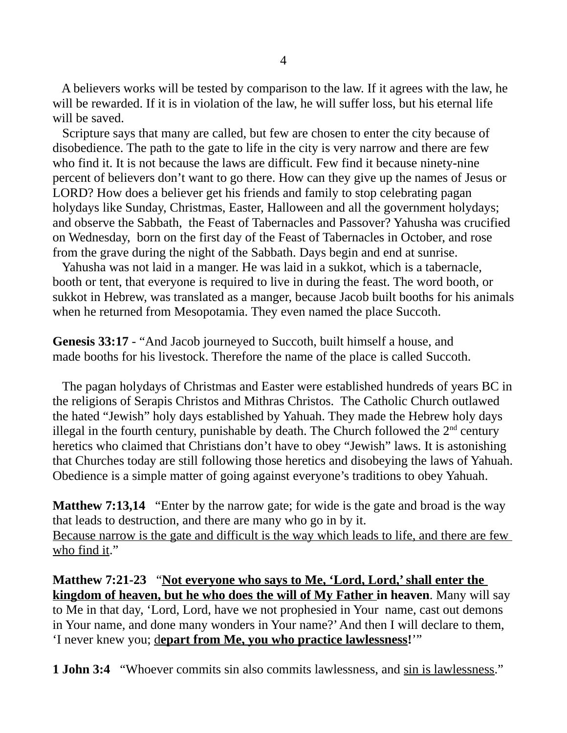A believers works will be tested by comparison to the law. If it agrees with the law, he will be rewarded. If it is in violation of the law, he will suffer loss, but his eternal life will be saved.

 Scripture says that many are called, but few are chosen to enter the city because of disobedience. The path to the gate to life in the city is very narrow and there are few who find it. It is not because the laws are difficult. Few find it because ninety-nine percent of believers don't want to go there. How can they give up the names of Jesus or LORD? How does a believer get his friends and family to stop celebrating pagan holydays like Sunday, Christmas, Easter, Halloween and all the government holydays; and observe the Sabbath, the Feast of Tabernacles and Passover? Yahusha was crucified on Wednesday, born on the first day of the Feast of Tabernacles in October, and rose from the grave during the night of the Sabbath. Days begin and end at sunrise.

 Yahusha was not laid in a manger. He was laid in a sukkot, which is a tabernacle, booth or tent, that everyone is required to live in during the feast. The word booth, or sukkot in Hebrew, was translated as a manger, because Jacob built booths for his animals when he returned from Mesopotamia. They even named the place Succoth.

**Genesis 33:17** - "And Jacob journeyed to Succoth, built himself a house, and made booths for his livestock. Therefore the name of the place is called Succoth.

 The pagan holydays of Christmas and Easter were established hundreds of years BC in the religions of Serapis Christos and Mithras Christos. The Catholic Church outlawed the hated "Jewish" holy days established by Yahuah. They made the Hebrew holy days illegal in the fourth century, punishable by death. The Church followed the  $2<sup>nd</sup>$  century heretics who claimed that Christians don't have to obey "Jewish" laws. It is astonishing that Churches today are still following those heretics and disobeying the laws of Yahuah. Obedience is a simple matter of going against everyone's traditions to obey Yahuah.

**Matthew 7:13,14** "Enter by the narrow gate; for wide is the gate and broad is the way that leads to destruction, and there are many who go in by it. Because narrow is the gate and difficult is the way which leads to life, and there are few who find it."

**Matthew 7:21-23** "**Not everyone who says to Me, 'Lord, Lord,' shall enter the kingdom of heaven, but he who does the will of My Father in heaven**. Many will say to Me in that day, 'Lord, Lord, have we not prophesied in Your name, cast out demons in Your name, and done many wonders in Your name?' And then I will declare to them, 'I never knew you; depart from Me, you who practice lawlessness!""

**1 John 3:4** "Whoever commits sin also commits lawlessness, and sin is lawlessness."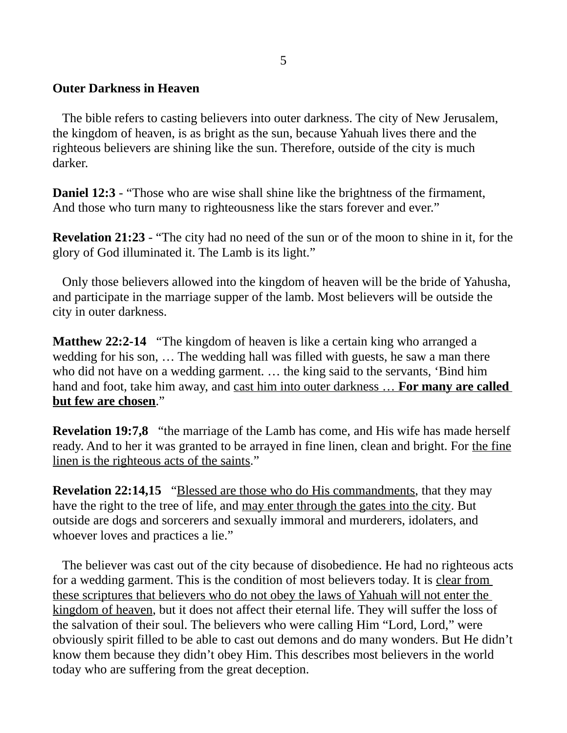## **Outer Darkness in Heaven**

 The bible refers to casting believers into outer darkness. The city of New Jerusalem, the kingdom of heaven, is as bright as the sun, because Yahuah lives there and the righteous believers are shining like the sun. Therefore, outside of the city is much darker.

**Daniel 12:3** - "Those who are wise shall shine like the brightness of the firmament, And those who turn many to righteousness like the stars forever and ever."

**Revelation 21:23** - "The city had no need of the sun or of the moon to shine in it, for the glory of God illuminated it. The Lamb is its light."

 Only those believers allowed into the kingdom of heaven will be the bride of Yahusha, and participate in the marriage supper of the lamb. Most believers will be outside the city in outer darkness.

**Matthew 22:2-14** "The kingdom of heaven is like a certain king who arranged a wedding for his son, … The wedding hall was filled with guests, he saw a man there who did not have on a wedding garment. … the king said to the servants, 'Bind him hand and foot, take him away, and cast him into outer darkness … **For many are called but few are chosen**."

**Revelation 19:7,8** "the marriage of the Lamb has come, and His wife has made herself ready. And to her it was granted to be arrayed in fine linen, clean and bright. For the fine linen is the righteous acts of the saints."

**Revelation 22:14,15** "Blessed are those who do His commandments, that they may have the right to the tree of life, and may enter through the gates into the city. But outside are dogs and sorcerers and sexually immoral and murderers, idolaters, and whoever loves and practices a lie."

 The believer was cast out of the city because of disobedience. He had no righteous acts for a wedding garment. This is the condition of most believers today. It is clear from these scriptures that believers who do not obey the laws of Yahuah will not enter the kingdom of heaven, but it does not affect their eternal life. They will suffer the loss of the salvation of their soul. The believers who were calling Him "Lord, Lord," were obviously spirit filled to be able to cast out demons and do many wonders. But He didn't know them because they didn't obey Him. This describes most believers in the world today who are suffering from the great deception.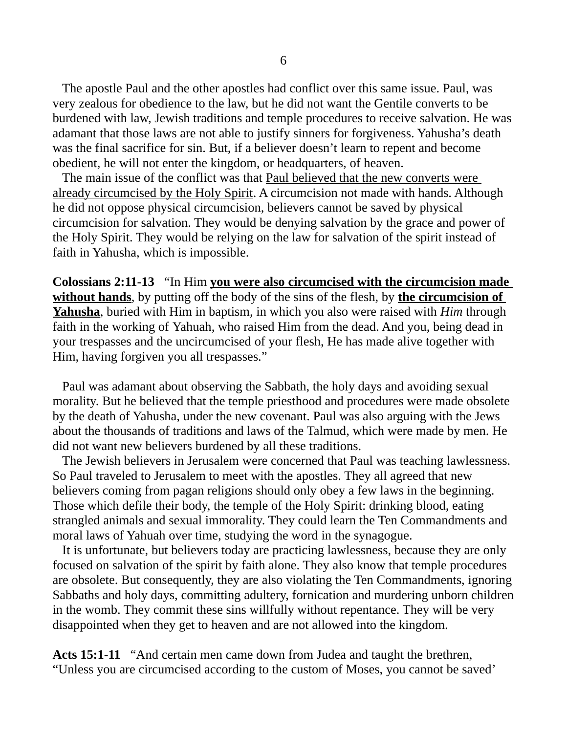The apostle Paul and the other apostles had conflict over this same issue. Paul, was very zealous for obedience to the law, but he did not want the Gentile converts to be burdened with law, Jewish traditions and temple procedures to receive salvation. He was adamant that those laws are not able to justify sinners for forgiveness. Yahusha's death was the final sacrifice for sin. But, if a believer doesn't learn to repent and become obedient, he will not enter the kingdom, or headquarters, of heaven.

 The main issue of the conflict was that Paul believed that the new converts were already circumcised by the Holy Spirit. A circumcision not made with hands. Although he did not oppose physical circumcision, believers cannot be saved by physical circumcision for salvation. They would be denying salvation by the grace and power of the Holy Spirit. They would be relying on the law for salvation of the spirit instead of faith in Yahusha, which is impossible.

**Colossians 2:11-13** "In Him **you were also circumcised with the circumcision made without hands**, by putting off the body of the sins of the flesh, by **the circumcision of Yahusha**, buried with Him in baptism, in which you also were raised with *Him* through faith in the working of Yahuah, who raised Him from the dead. And you, being dead in your trespasses and the uncircumcised of your flesh, He has made alive together with Him, having forgiven you all trespasses."

 Paul was adamant about observing the Sabbath, the holy days and avoiding sexual morality. But he believed that the temple priesthood and procedures were made obsolete by the death of Yahusha, under the new covenant. Paul was also arguing with the Jews about the thousands of traditions and laws of the Talmud, which were made by men. He did not want new believers burdened by all these traditions.

 The Jewish believers in Jerusalem were concerned that Paul was teaching lawlessness. So Paul traveled to Jerusalem to meet with the apostles. They all agreed that new believers coming from pagan religions should only obey a few laws in the beginning. Those which defile their body, the temple of the Holy Spirit: drinking blood, eating strangled animals and sexual immorality. They could learn the Ten Commandments and moral laws of Yahuah over time, studying the word in the synagogue.

 It is unfortunate, but believers today are practicing lawlessness, because they are only focused on salvation of the spirit by faith alone. They also know that temple procedures are obsolete. But consequently, they are also violating the Ten Commandments, ignoring Sabbaths and holy days, committing adultery, fornication and murdering unborn children in the womb. They commit these sins willfully without repentance. They will be very disappointed when they get to heaven and are not allowed into the kingdom.

**Acts 15:1-11** "And certain men came down from Judea and taught the brethren, "Unless you are circumcised according to the custom of Moses, you cannot be saved'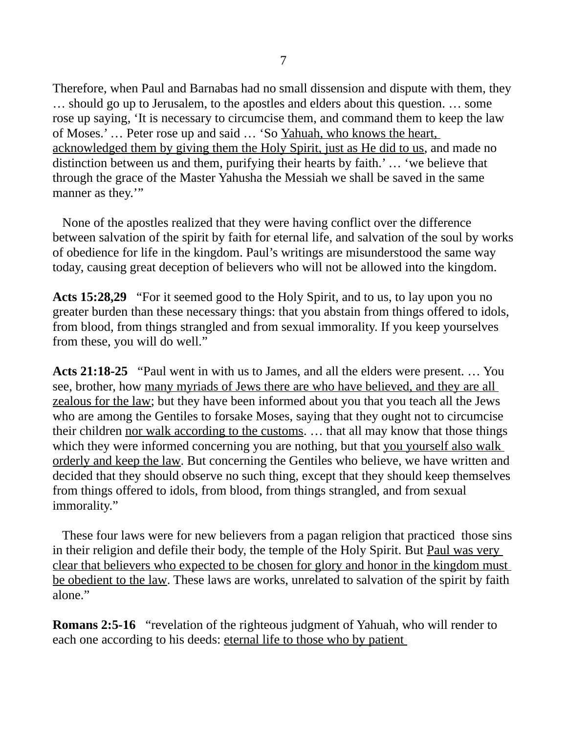Therefore, when Paul and Barnabas had no small dissension and dispute with them, they … should go up to Jerusalem, to the apostles and elders about this question. … some rose up saying, 'It is necessary to circumcise them, and command them to keep the law of Moses.' … Peter rose up and said … 'So Yahuah, who knows the heart, acknowledged them by giving them the Holy Spirit, just as He did to us, and made no distinction between us and them, purifying their hearts by faith.' … 'we believe that through the grace of the Master Yahusha the Messiah we shall be saved in the same manner as they."

 None of the apostles realized that they were having conflict over the difference between salvation of the spirit by faith for eternal life, and salvation of the soul by works of obedience for life in the kingdom. Paul's writings are misunderstood the same way today, causing great deception of believers who will not be allowed into the kingdom.

**Acts 15:28,29** "For it seemed good to the Holy Spirit, and to us, to lay upon you no greater burden than these necessary things: that you abstain from things offered to idols, from blood, from things strangled and from sexual immorality. If you keep yourselves from these, you will do well."

**Acts 21:18-25** "Paul went in with us to James, and all the elders were present. … You see, brother, how many myriads of Jews there are who have believed, and they are all zealous for the law; but they have been informed about you that you teach all the Jews who are among the Gentiles to forsake Moses, saying that they ought not to circumcise their children nor walk according to the customs. ... that all may know that those things which they were informed concerning you are nothing, but that you yourself also walk orderly and keep the law. But concerning the Gentiles who believe, we have written and decided that they should observe no such thing, except that they should keep themselves from things offered to idols, from blood, from things strangled, and from sexual immorality."

 These four laws were for new believers from a pagan religion that practiced those sins in their religion and defile their body, the temple of the Holy Spirit. But Paul was very clear that believers who expected to be chosen for glory and honor in the kingdom must be obedient to the law. These laws are works, unrelated to salvation of the spirit by faith alone."

**Romans 2:5-16** "revelation of the righteous judgment of Yahuah, who will render to each one according to his deeds: eternal life to those who by patient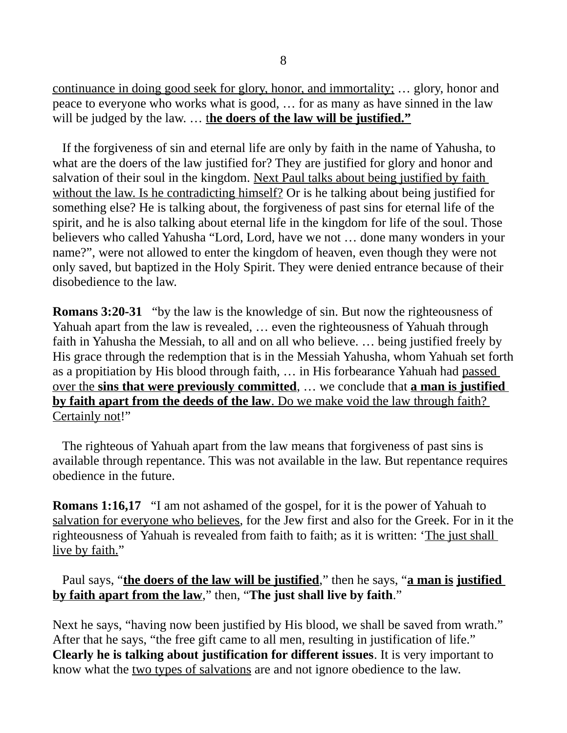continuance in doing good seek for glory, honor, and immortality;  $\ldots$  glory, honor and peace to everyone who works what is good, … for as many as have sinned in the law will be judged by the law. ... **the doers of the law will be justified."** 

 If the forgiveness of sin and eternal life are only by faith in the name of Yahusha, to what are the doers of the law justified for? They are justified for glory and honor and salvation of their soul in the kingdom. Next Paul talks about being justified by faith without the law. Is he contradicting himself? Or is he talking about being justified for something else? He is talking about, the forgiveness of past sins for eternal life of the spirit, and he is also talking about eternal life in the kingdom for life of the soul. Those believers who called Yahusha "Lord, Lord, have we not … done many wonders in your name?", were not allowed to enter the kingdom of heaven, even though they were not only saved, but baptized in the Holy Spirit. They were denied entrance because of their disobedience to the law.

**Romans 3:20-31** "by the law is the knowledge of sin. But now the righteousness of Yahuah apart from the law is revealed, … even the righteousness of Yahuah through faith in Yahusha the Messiah, to all and on all who believe. … being justified freely by His grace through the redemption that is in the Messiah Yahusha, whom Yahuah set forth as a propitiation by His blood through faith, … in His forbearance Yahuah had passed over the **sins that were previously committed**, … we conclude that **a man is justified by faith apart from the deeds of the law** . Do we make void the law through faith? Certainly not!"

 The righteous of Yahuah apart from the law means that forgiveness of past sins is available through repentance. This was not available in the law. But repentance requires obedience in the future.

**Romans 1:16,17** "I am not ashamed of the gospel, for it is the power of Yahuah to salvation for everyone who believes, for the Jew first and also for the Greek. For in it the righteousness of Yahuah is revealed from faith to faith; as it is written: 'The just shall live by faith."

 Paul says, "**the doers of the law will be justified**," then he says, "**a man is justified by faith apart from the law**," then, "**The just shall live by faith**."

Next he says, "having now been justified by His blood, we shall be saved from wrath." After that he says, "the free gift came to all men, resulting in justification of life." **Clearly he is talking about justification for different issues**. It is very important to know what the two types of salvations are and not ignore obedience to the law.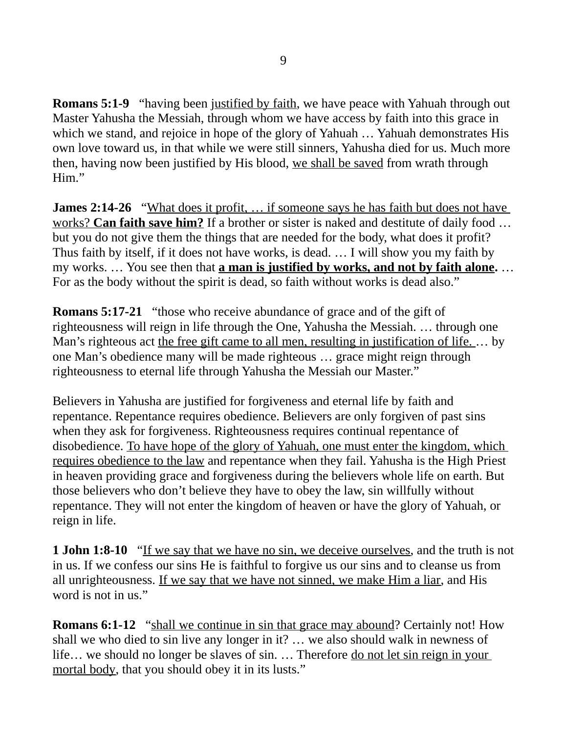**Romans 5:1-9** "having been justified by faith, we have peace with Yahuah through out Master Yahusha the Messiah, through whom we have access by faith into this grace in which we stand, and rejoice in hope of the glory of Yahuah … Yahuah demonstrates His own love toward us, in that while we were still sinners, Yahusha died for us. Much more then, having now been justified by His blood, we shall be saved from wrath through Him."

**James 2:14-26** "What does it profit, ... if someone says he has faith but does not have works? **Can faith save him?** If a brother or sister is naked and destitute of daily food … but you do not give them the things that are needed for the body, what does it profit? Thus faith by itself, if it does not have works, is dead. … I will show you my faith by my works. … You see then that **a man is justified by works, and not by faith alone.** … For as the body without the spirit is dead, so faith without works is dead also."

**Romans 5:17-21** "those who receive abundance of grace and of the gift of righteousness will reign in life through the One, Yahusha the Messiah. … through one Man's righteous act the free gift came to all men, resulting in justification of life. … by one Man's obedience many will be made righteous … grace might reign through righteousness to eternal life through Yahusha the Messiah our Master."

Believers in Yahusha are justified for forgiveness and eternal life by faith and repentance. Repentance requires obedience. Believers are only forgiven of past sins when they ask for forgiveness. Righteousness requires continual repentance of disobedience. To have hope of the glory of Yahuah, one must enter the kingdom, which requires obedience to the law and repentance when they fail. Yahusha is the High Priest in heaven providing grace and forgiveness during the believers whole life on earth. But those believers who don't believe they have to obey the law, sin willfully without repentance. They will not enter the kingdom of heaven or have the glory of Yahuah, or reign in life.

**1 John 1:8-10** "If we say that we have no sin, we deceive ourselves, and the truth is not in us. If we confess our sins He is faithful to forgive us our sins and to cleanse us from all unrighteousness. If we say that we have not sinned, we make Him a liar, and His word is not in us."

**Romans 6:1-12** "shall we continue in sin that grace may abound? Certainly not! How shall we who died to sin live any longer in it? … we also should walk in newness of life… we should no longer be slaves of sin. … Therefore do not let sin reign in your mortal body, that you should obey it in its lusts."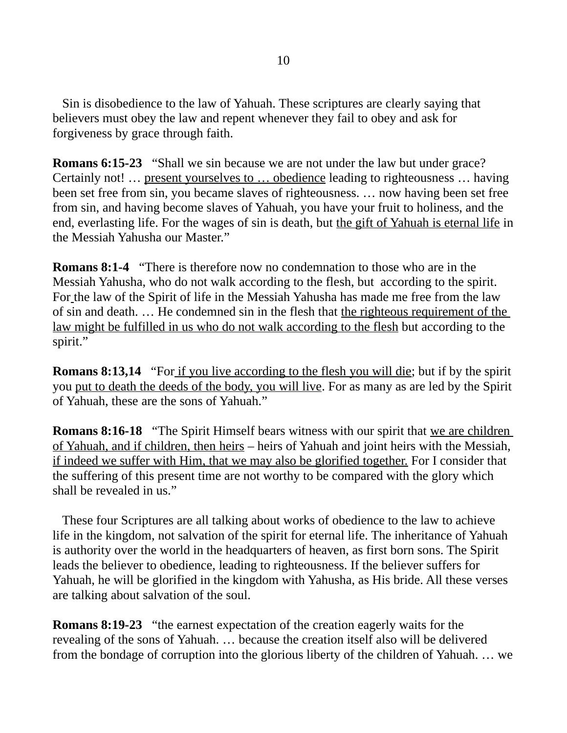Sin is disobedience to the law of Yahuah. These scriptures are clearly saying that believers must obey the law and repent whenever they fail to obey and ask for forgiveness by grace through faith.

**Romans 6:15-23** "Shall we sin because we are not under the law but under grace? Certainly not! … present yourselves to … obedience leading to righteousness … having been set free from sin, you became slaves of righteousness. … now having been set free from sin, and having become slaves of Yahuah, you have your fruit to holiness, and the end, everlasting life. For the wages of sin is death, but the gift of Yahuah is eternal life in the Messiah Yahusha our Master."

**Romans 8:1-4** "There is therefore now no condemnation to those who are in the Messiah Yahusha, who do not walk according to the flesh, but according to the spirit. For the law of the Spirit of life in the Messiah Yahusha has made me free from the law of sin and death. … He condemned sin in the flesh that the righteous requirement of the law might be fulfilled in us who do not walk according to the flesh but according to the spirit."

**Romans 8:13,14** "For if you live according to the flesh you will die; but if by the spirit you put to death the deeds of the body, you will live. For as many as are led by the Spirit of Yahuah, these are the sons of Yahuah."

**Romans 8:16-18** "The Spirit Himself bears witness with our spirit that we are children of Yahuah, and if children, then heirs – heirs of Yahuah and joint heirs with the Messiah, if indeed we suffer with Him, that we may also be glorified together. For I consider that the suffering of this present time are not worthy to be compared with the glory which shall be revealed in us."

 These four Scriptures are all talking about works of obedience to the law to achieve life in the kingdom, not salvation of the spirit for eternal life. The inheritance of Yahuah is authority over the world in the headquarters of heaven, as first born sons. The Spirit leads the believer to obedience, leading to righteousness. If the believer suffers for Yahuah, he will be glorified in the kingdom with Yahusha, as His bride. All these verses are talking about salvation of the soul.

**Romans 8:19-23** "the earnest expectation of the creation eagerly waits for the revealing of the sons of Yahuah. … because the creation itself also will be delivered from the bondage of corruption into the glorious liberty of the children of Yahuah. … we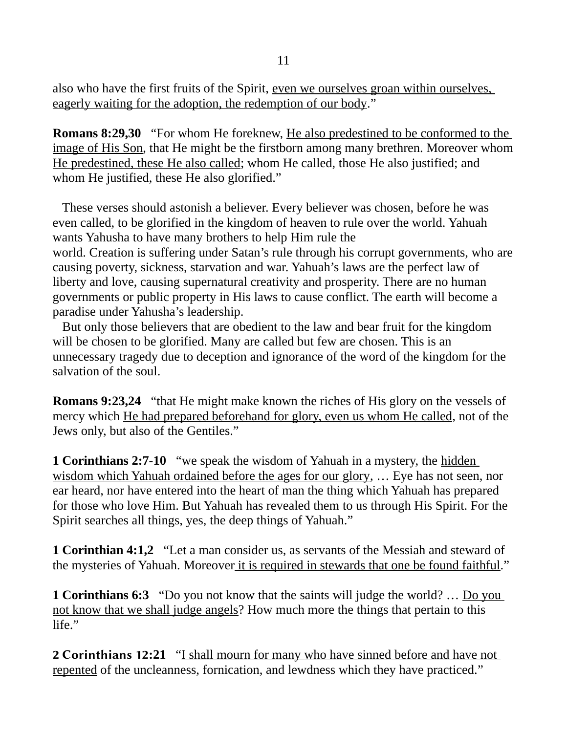also who have the first fruits of the Spirit, even we ourselves groan within ourselves, eagerly waiting for the adoption, the redemption of our body."

**Romans 8:29,30** "For whom He foreknew, He also predestined to be conformed to the image of His Son, that He might be the firstborn among many brethren. Moreover whom He predestined, these He also called; whom He called, those He also justified; and whom He justified, these He also glorified."

 These verses should astonish a believer. Every believer was chosen, before he was even called, to be glorified in the kingdom of heaven to rule over the world. Yahuah wants Yahusha to have many brothers to help Him rule the world. Creation is suffering under Satan's rule through his corrupt governments, who are causing poverty, sickness, starvation and war. Yahuah's laws are the perfect law of liberty and love, causing supernatural creativity and prosperity. There are no human governments or public property in His laws to cause conflict. The earth will become a paradise under Yahusha's leadership.

 But only those believers that are obedient to the law and bear fruit for the kingdom will be chosen to be glorified. Many are called but few are chosen. This is an unnecessary tragedy due to deception and ignorance of the word of the kingdom for the salvation of the soul.

**Romans 9:23,24** "that He might make known the riches of His glory on the vessels of mercy which He had prepared beforehand for glory, even us whom He called, not of the Jews only, but also of the Gentiles."

**1 Corinthians 2:7-10** "we speak the wisdom of Yahuah in a mystery, the hidden wisdom which Yahuah ordained before the ages for our glory, … Eye has not seen, nor ear heard, nor have entered into the heart of man the thing which Yahuah has prepared for those who love Him. But Yahuah has revealed them to us through His Spirit. For the Spirit searches all things, yes, the deep things of Yahuah."

**1 Corinthian 4:1,2** "Let a man consider us, as servants of the Messiah and steward of the mysteries of Yahuah. Moreover it is required in stewards that one be found faithful."

**1 Corinthians 6:3** "Do you not know that the saints will judge the world? ... <u>Do you</u> not know that we shall judge angels? How much more the things that pertain to this life."

2 Corinthians 12**:21** "I shall mourn for many who have sinned before and have not repented of the uncleanness, fornication, and lewdness which they have practiced."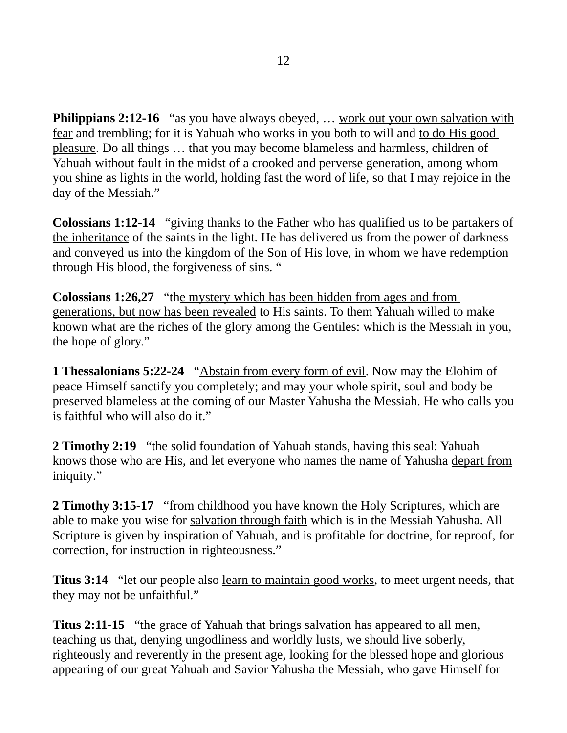**Philippians 2:12-16** "as you have always obeyed, ... work out your own salvation with fear and trembling; for it is Yahuah who works in you both to will and to do His good pleasure. Do all things … that you may become blameless and harmless, children of Yahuah without fault in the midst of a crooked and perverse generation, among whom you shine as lights in the world, holding fast the word of life, so that I may rejoice in the day of the Messiah."

**Colossians 1:12-14** "giving thanks to the Father who has qualified us to be partakers of the inheritance of the saints in the light. He has delivered us from the power of darkness and conveyed us into the kingdom of the Son of His love, in whom we have redemption through His blood, the forgiveness of sins. "

**Colossians 1:26,27** "the mystery which has been hidden from ages and from generations, but now has been revealed to His saints. To them Yahuah willed to make known what are the riches of the glory among the Gentiles: which is the Messiah in you, the hope of glory."

**1 Thessalonians 5:22-24** "Abstain from every form of evil. Now may the Elohim of peace Himself sanctify you completely; and may your whole spirit, soul and body be preserved blameless at the coming of our Master Yahusha the Messiah. He who calls you is faithful who will also do it."

**2 Timothy 2:19** "the solid foundation of Yahuah stands, having this seal: Yahuah knows those who are His, and let everyone who names the name of Yahusha depart from iniquity."

**2 Timothy 3:15-17** "from childhood you have known the Holy Scriptures, which are able to make you wise for salvation through faith which is in the Messiah Yahusha. All Scripture is given by inspiration of Yahuah, and is profitable for doctrine, for reproof, for correction, for instruction in righteousness."

**Titus 3:14** "let our people also learn to maintain good works, to meet urgent needs, that they may not be unfaithful."

**Titus 2:11-15** "the grace of Yahuah that brings salvation has appeared to all men, teaching us that, denying ungodliness and worldly lusts, we should live soberly, righteously and reverently in the present age, looking for the blessed hope and glorious appearing of our great Yahuah and Savior Yahusha the Messiah, who gave Himself for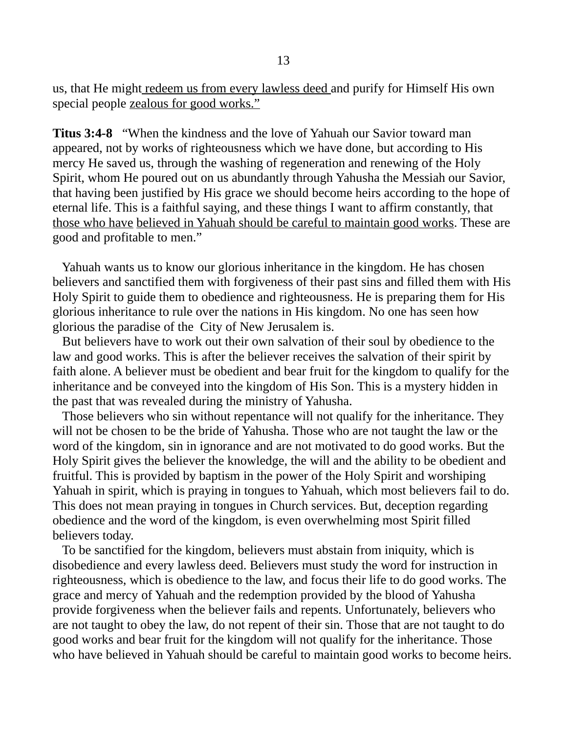us, that He might redeem us from every lawless deed and purify for Himself His own special people zealous for good works."

**Titus 3:4-8** "When the kindness and the love of Yahuah our Savior toward man appeared, not by works of righteousness which we have done, but according to His mercy He saved us, through the washing of regeneration and renewing of the Holy Spirit, whom He poured out on us abundantly through Yahusha the Messiah our Savior, that having been justified by His grace we should become heirs according to the hope of eternal life. This is a faithful saying, and these things I want to affirm constantly, that those who have believed in Yahuah should be careful to maintain good works. These are good and profitable to men."

 Yahuah wants us to know our glorious inheritance in the kingdom. He has chosen believers and sanctified them with forgiveness of their past sins and filled them with His Holy Spirit to guide them to obedience and righteousness. He is preparing them for His glorious inheritance to rule over the nations in His kingdom. No one has seen how glorious the paradise of the City of New Jerusalem is.

 But believers have to work out their own salvation of their soul by obedience to the law and good works. This is after the believer receives the salvation of their spirit by faith alone. A believer must be obedient and bear fruit for the kingdom to qualify for the inheritance and be conveyed into the kingdom of His Son. This is a mystery hidden in the past that was revealed during the ministry of Yahusha.

 Those believers who sin without repentance will not qualify for the inheritance. They will not be chosen to be the bride of Yahusha. Those who are not taught the law or the word of the kingdom, sin in ignorance and are not motivated to do good works. But the Holy Spirit gives the believer the knowledge, the will and the ability to be obedient and fruitful. This is provided by baptism in the power of the Holy Spirit and worshiping Yahuah in spirit, which is praying in tongues to Yahuah, which most believers fail to do. This does not mean praying in tongues in Church services. But, deception regarding obedience and the word of the kingdom, is even overwhelming most Spirit filled believers today.

 To be sanctified for the kingdom, believers must abstain from iniquity, which is disobedience and every lawless deed. Believers must study the word for instruction in righteousness, which is obedience to the law, and focus their life to do good works. The grace and mercy of Yahuah and the redemption provided by the blood of Yahusha provide forgiveness when the believer fails and repents. Unfortunately, believers who are not taught to obey the law, do not repent of their sin. Those that are not taught to do good works and bear fruit for the kingdom will not qualify for the inheritance. Those who have believed in Yahuah should be careful to maintain good works to become heirs.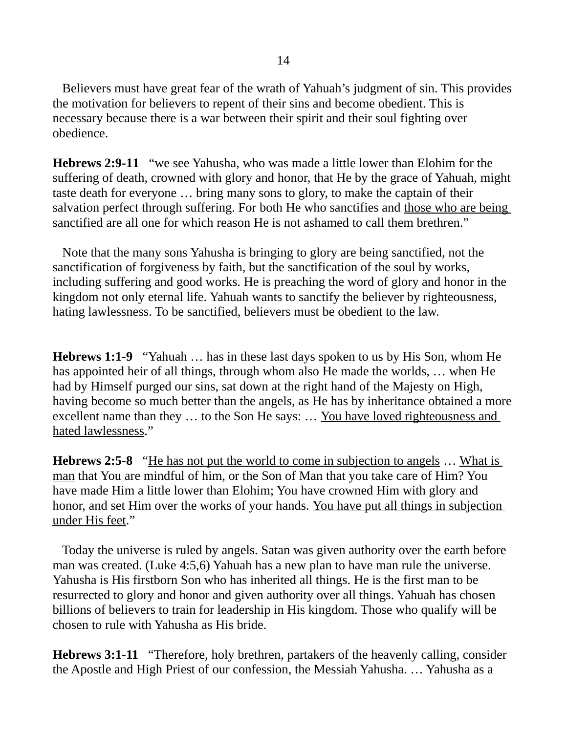Believers must have great fear of the wrath of Yahuah's judgment of sin. This provides the motivation for believers to repent of their sins and become obedient. This is necessary because there is a war between their spirit and their soul fighting over obedience.

**Hebrews 2:9-11** "we see Yahusha, who was made a little lower than Elohim for the suffering of death, crowned with glory and honor, that He by the grace of Yahuah, might taste death for everyone … bring many sons to glory, to make the captain of their salvation perfect through suffering. For both He who sanctifies and those who are being sanctified are all one for which reason He is not ashamed to call them brethren."

 Note that the many sons Yahusha is bringing to glory are being sanctified, not the sanctification of forgiveness by faith, but the sanctification of the soul by works, including suffering and good works. He is preaching the word of glory and honor in the kingdom not only eternal life. Yahuah wants to sanctify the believer by righteousness, hating lawlessness. To be sanctified, believers must be obedient to the law.

**Hebrews 1:1-9** "Yahuah … has in these last days spoken to us by His Son, whom He has appointed heir of all things, through whom also He made the worlds, … when He had by Himself purged our sins, sat down at the right hand of the Majesty on High, having become so much better than the angels, as He has by inheritance obtained a more excellent name than they ... to the Son He says: ... You have loved righteousness and hated lawlessness."

**Hebrews 2:5-8** "He has not put the world to come in subjection to angels … What is man that You are mindful of him, or the Son of Man that you take care of Him? You have made Him a little lower than Elohim; You have crowned Him with glory and honor, and set Him over the works of your hands. You have put all things in subjection under His feet."

 Today the universe is ruled by angels. Satan was given authority over the earth before man was created. (Luke 4:5,6) Yahuah has a new plan to have man rule the universe. Yahusha is His firstborn Son who has inherited all things. He is the first man to be resurrected to glory and honor and given authority over all things. Yahuah has chosen billions of believers to train for leadership in His kingdom. Those who qualify will be chosen to rule with Yahusha as His bride.

**Hebrews 3:1-11** "Therefore, holy brethren, partakers of the heavenly calling, consider the Apostle and High Priest of our confession, the Messiah Yahusha. … Yahusha as a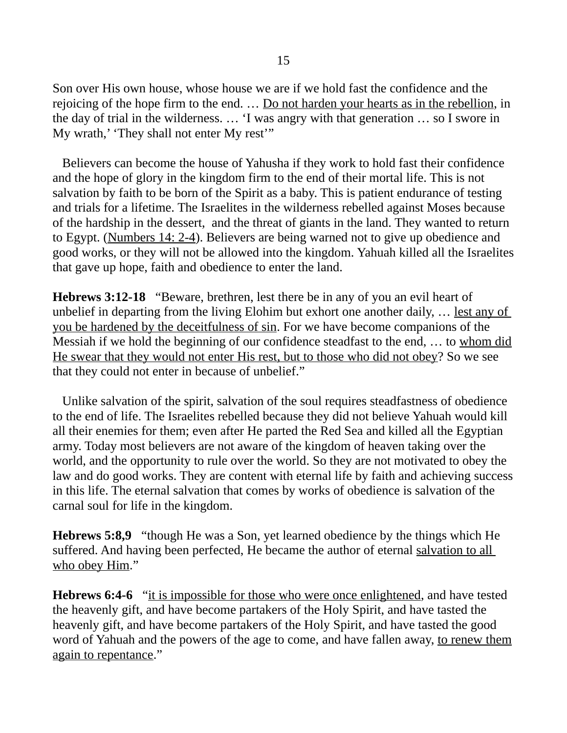Son over His own house, whose house we are if we hold fast the confidence and the rejoicing of the hope firm to the end. … Do not harden your hearts as in the rebellion, in the day of trial in the wilderness. … 'I was angry with that generation … so I swore in My wrath,' 'They shall not enter My rest'"

 Believers can become the house of Yahusha if they work to hold fast their confidence and the hope of glory in the kingdom firm to the end of their mortal life. This is not salvation by faith to be born of the Spirit as a baby. This is patient endurance of testing and trials for a lifetime. The Israelites in the wilderness rebelled against Moses because of the hardship in the dessert, and the threat of giants in the land. They wanted to return to Egypt. (Numbers 14: 2-4). Believers are being warned not to give up obedience and good works, or they will not be allowed into the kingdom. Yahuah killed all the Israelites that gave up hope, faith and obedience to enter the land.

**Hebrews 3:12-18** "Beware, brethren, lest there be in any of you an evil heart of unbelief in departing from the living Elohim but exhort one another daily, … lest any of you be hardened by the deceitfulness of sin. For we have become companions of the Messiah if we hold the beginning of our confidence steadfast to the end, … to whom did He swear that they would not enter His rest, but to those who did not obey? So we see that they could not enter in because of unbelief."

 Unlike salvation of the spirit, salvation of the soul requires steadfastness of obedience to the end of life. The Israelites rebelled because they did not believe Yahuah would kill all their enemies for them; even after He parted the Red Sea and killed all the Egyptian army. Today most believers are not aware of the kingdom of heaven taking over the world, and the opportunity to rule over the world. So they are not motivated to obey the law and do good works. They are content with eternal life by faith and achieving success in this life. The eternal salvation that comes by works of obedience is salvation of the carnal soul for life in the kingdom.

**Hebrews 5:8,9** "though He was a Son, yet learned obedience by the things which He suffered. And having been perfected, He became the author of eternal salvation to all who obey Him."

**Hebrews 6:4-6** "it is impossible for those who were once enlightened, and have tested the heavenly gift, and have become partakers of the Holy Spirit, and have tasted the heavenly gift, and have become partakers of the Holy Spirit, and have tasted the good word of Yahuah and the powers of the age to come, and have fallen away, to renew them again to repentance."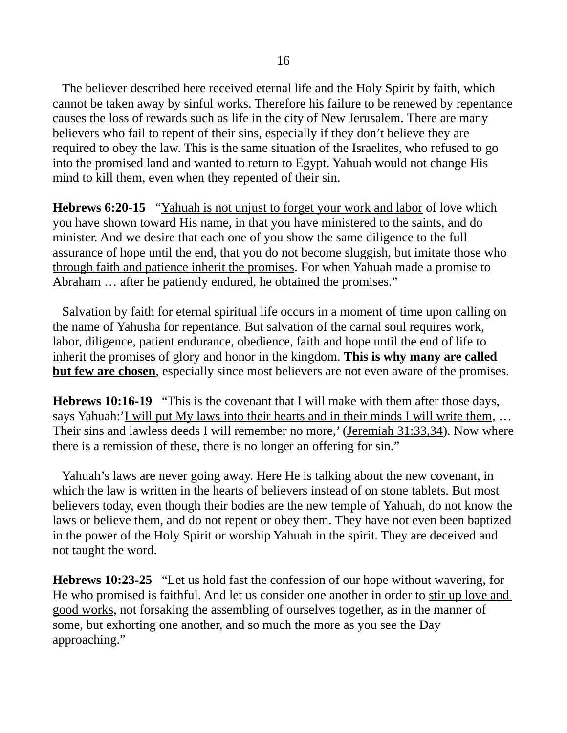The believer described here received eternal life and the Holy Spirit by faith, which cannot be taken away by sinful works. Therefore his failure to be renewed by repentance causes the loss of rewards such as life in the city of New Jerusalem. There are many believers who fail to repent of their sins, especially if they don't believe they are required to obey the law. This is the same situation of the Israelites, who refused to go into the promised land and wanted to return to Egypt. Yahuah would not change His mind to kill them, even when they repented of their sin.

**Hebrews 6:20-15** "Yahuah is not unjust to forget your work and labor of love which you have shown toward His name, in that you have ministered to the saints, and do minister. And we desire that each one of you show the same diligence to the full assurance of hope until the end, that you do not become sluggish, but imitate those who through faith and patience inherit the promises. For when Yahuah made a promise to Abraham … after he patiently endured, he obtained the promises."

 Salvation by faith for eternal spiritual life occurs in a moment of time upon calling on the name of Yahusha for repentance. But salvation of the carnal soul requires work, labor, diligence, patient endurance, obedience, faith and hope until the end of life to inherit the promises of glory and honor in the kingdom. **This is why many are called but few are chosen**, especially since most believers are not even aware of the promises.

**Hebrews 10:16-19** "This is the covenant that I will make with them after those days, says Yahuah:'I will put My laws into their hearts and in their minds I will write them, … Their sins and lawless deeds I will remember no more,' (Jeremiah 31:33,34). Now where there is a remission of these, there is no longer an offering for sin."

 Yahuah's laws are never going away. Here He is talking about the new covenant, in which the law is written in the hearts of believers instead of on stone tablets. But most believers today, even though their bodies are the new temple of Yahuah, do not know the laws or believe them, and do not repent or obey them. They have not even been baptized in the power of the Holy Spirit or worship Yahuah in the spirit. They are deceived and not taught the word.

**Hebrews 10:23-25** "Let us hold fast the confession of our hope without wavering, for He who promised is faithful. And let us consider one another in order to stir up love and good works, not forsaking the assembling of ourselves together, as in the manner of some, but exhorting one another, and so much the more as you see the Day approaching."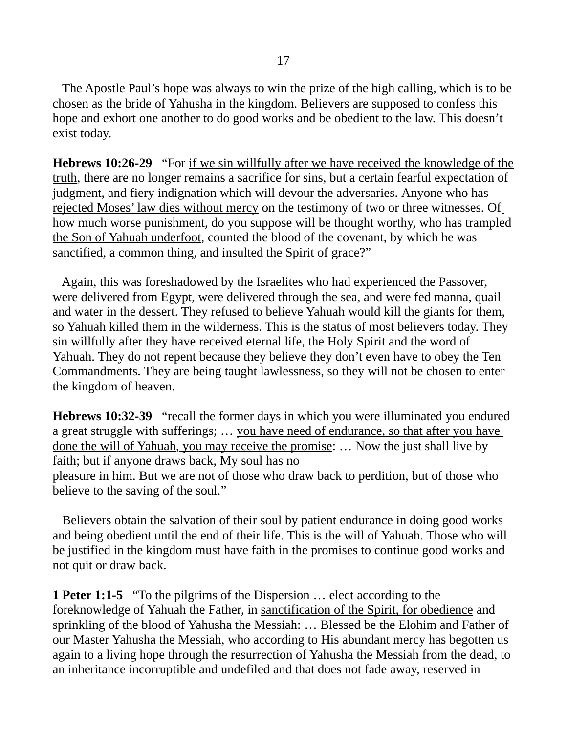The Apostle Paul's hope was always to win the prize of the high calling, which is to be chosen as the bride of Yahusha in the kingdom. Believers are supposed to confess this hope and exhort one another to do good works and be obedient to the law. This doesn't exist today.

**Hebrews 10:26-29** "For if we sin willfully after we have received the knowledge of the truth, there are no longer remains a sacrifice for sins, but a certain fearful expectation of judgment, and fiery indignation which will devour the adversaries. Anyone who has rejected Moses' law dies without mercy on the testimony of two or three witnesses. Of how much worse punishment, do you suppose will be thought worthy, who has trampled the Son of Yahuah underfoot, counted the blood of the covenant, by which he was sanctified, a common thing, and insulted the Spirit of grace?"

 Again, this was foreshadowed by the Israelites who had experienced the Passover, were delivered from Egypt, were delivered through the sea, and were fed manna, quail and water in the dessert. They refused to believe Yahuah would kill the giants for them, so Yahuah killed them in the wilderness. This is the status of most believers today. They sin willfully after they have received eternal life, the Holy Spirit and the word of Yahuah. They do not repent because they believe they don't even have to obey the Ten Commandments. They are being taught lawlessness, so they will not be chosen to enter the kingdom of heaven.

**Hebrews 10:32-39** "recall the former days in which you were illuminated you endured a great struggle with sufferings; ... you have need of endurance, so that after you have done the will of Yahuah, you may receive the promise: … Now the just shall live by faith; but if anyone draws back, My soul has no pleasure in him. But we are not of those who draw back to perdition, but of those who believe to the saving of the soul."

 Believers obtain the salvation of their soul by patient endurance in doing good works and being obedient until the end of their life. This is the will of Yahuah. Those who will be justified in the kingdom must have faith in the promises to continue good works and not quit or draw back.

**1 Peter 1:1-5** "To the pilgrims of the Dispersion … elect according to the foreknowledge of Yahuah the Father, in sanctification of the Spirit, for obedience and sprinkling of the blood of Yahusha the Messiah: … Blessed be the Elohim and Father of our Master Yahusha the Messiah, who according to His abundant mercy has begotten us again to a living hope through the resurrection of Yahusha the Messiah from the dead, to an inheritance incorruptible and undefiled and that does not fade away, reserved in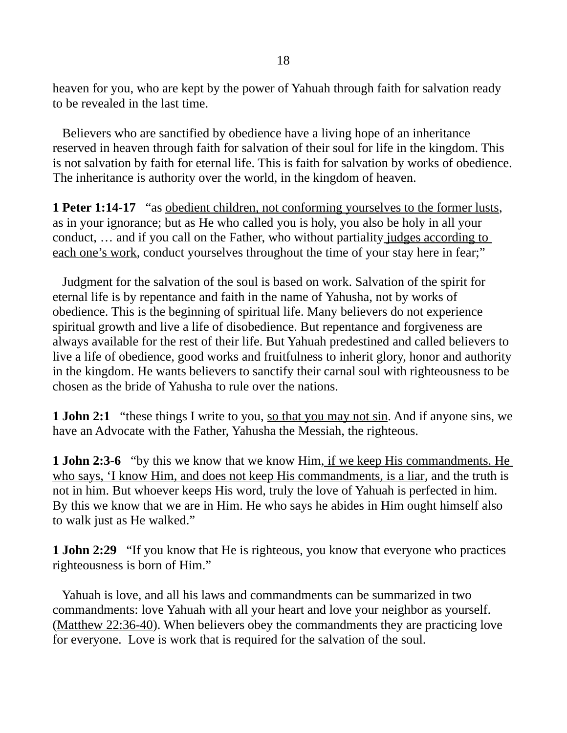heaven for you, who are kept by the power of Yahuah through faith for salvation ready to be revealed in the last time.

 Believers who are sanctified by obedience have a living hope of an inheritance reserved in heaven through faith for salvation of their soul for life in the kingdom. This is not salvation by faith for eternal life. This is faith for salvation by works of obedience. The inheritance is authority over the world, in the kingdom of heaven.

**1 Peter 1:14-17** "as obedient children, not conforming yourselves to the former lusts, as in your ignorance; but as He who called you is holy, you also be holy in all your conduct, … and if you call on the Father, who without partiality judges according to each one's work, conduct yourselves throughout the time of your stay here in fear;"

 Judgment for the salvation of the soul is based on work. Salvation of the spirit for eternal life is by repentance and faith in the name of Yahusha, not by works of obedience. This is the beginning of spiritual life. Many believers do not experience spiritual growth and live a life of disobedience. But repentance and forgiveness are always available for the rest of their life. But Yahuah predestined and called believers to live a life of obedience, good works and fruitfulness to inherit glory, honor and authority in the kingdom. He wants believers to sanctify their carnal soul with righteousness to be chosen as the bride of Yahusha to rule over the nations.

**1 John 2:1** "these things I write to you, <u>so that you may not sin</u>. And if anyone sins, we have an Advocate with the Father, Yahusha the Messiah, the righteous.

**1 John 2:3-6** "by this we know that we know Him, if we keep His commandments. He who says, 'I know Him, and does not keep His commandments, is a liar, and the truth is not in him. But whoever keeps His word, truly the love of Yahuah is perfected in him. By this we know that we are in Him. He who says he abides in Him ought himself also to walk just as He walked."

**1 John 2:29** "If you know that He is righteous, you know that everyone who practices righteousness is born of Him."

 Yahuah is love, and all his laws and commandments can be summarized in two commandments: love Yahuah with all your heart and love your neighbor as yourself. (Matthew 22:36-40). When believers obey the commandments they are practicing love for everyone. Love is work that is required for the salvation of the soul.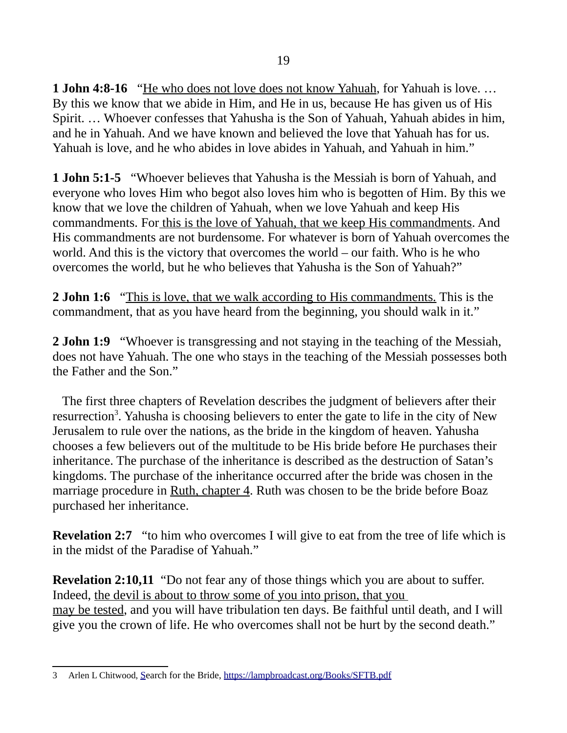**1 John 4:8-16** "He who does not love does not know Yahuah, for Yahuah is love. … By this we know that we abide in Him, and He in us, because He has given us of His Spirit. … Whoever confesses that Yahusha is the Son of Yahuah, Yahuah abides in him, and he in Yahuah. And we have known and believed the love that Yahuah has for us. Yahuah is love, and he who abides in love abides in Yahuah, and Yahuah in him."

**1 John 5:1-5** "Whoever believes that Yahusha is the Messiah is born of Yahuah, and everyone who loves Him who begot also loves him who is begotten of Him. By this we know that we love the children of Yahuah, when we love Yahuah and keep His commandments. For this is the love of Yahuah, that we keep His commandments. And His commandments are not burdensome. For whatever is born of Yahuah overcomes the world. And this is the victory that overcomes the world – our faith. Who is he who overcomes the world, but he who believes that Yahusha is the Son of Yahuah?"

**2 John 1:6** "This is love, that we walk according to His commandments. This is the commandment, that as you have heard from the beginning, you should walk in it."

**2 John 1:9** "Whoever is transgressing and not staying in the teaching of the Messiah, does not have Yahuah. The one who stays in the teaching of the Messiah possesses both the Father and the Son."

 The first three chapters of Revelation describes the judgment of believers after their resurrection<sup>[3](#page-18-0)</sup>. Yahusha is choosing believers to enter the gate to life in the city of New Jerusalem to rule over the nations, as the bride in the kingdom of heaven. Yahusha chooses a few believers out of the multitude to be His bride before He purchases their inheritance. The purchase of the inheritance is described as the destruction of Satan's kingdoms. The purchase of the inheritance occurred after the bride was chosen in the marriage procedure in Ruth, chapter 4. Ruth was chosen to be the bride before Boaz purchased her inheritance.

**Revelation 2:7** "to him who overcomes I will give to eat from the tree of life which is in the midst of the Paradise of Yahuah."

**Revelation 2:10,11** "Do not fear any of those things which you are about to suffer. Indeed, the devil is about to throw some of you into prison, that you may be tested, and you will have tribulation ten days. Be faithful until death, and I will give you the crown of life. He who overcomes shall not be hurt by the second death."

<span id="page-18-0"></span><sup>3</sup> Arlen L Chitwood, [Se](http://lampbroadcast.org/)arch for the Bride, <https://lampbroadcast.org/Books/SFTB.pdf>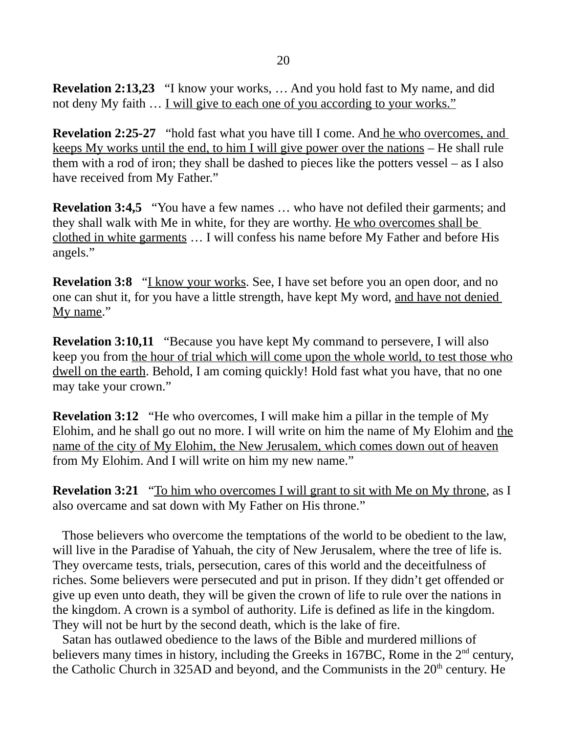**Revelation 2:13,23** "I know your works, … And you hold fast to My name, and did not deny My faith … I will give to each one of you according to your works."

**Revelation 2:25-27** "hold fast what you have till I come. And he who overcomes, and keeps My works until the end, to him I will give power over the nations – He shall rule them with a rod of iron; they shall be dashed to pieces like the potters vessel – as I also have received from My Father."

**Revelation 3:4,5** "You have a few names … who have not defiled their garments; and they shall walk with Me in white, for they are worthy. He who overcomes shall be clothed in white garments … I will confess his name before My Father and before His angels."

**Revelation 3:8** "I know your works. See, I have set before you an open door, and no one can shut it, for you have a little strength, have kept My word, and have not denied My name."

**Revelation 3:10,11** "Because you have kept My command to persevere, I will also keep you from the hour of trial which will come upon the whole world, to test those who dwell on the earth. Behold, I am coming quickly! Hold fast what you have, that no one may take your crown."

**Revelation 3:12** "He who overcomes, I will make him a pillar in the temple of My Elohim, and he shall go out no more. I will write on him the name of My Elohim and the name of the city of My Elohim, the New Jerusalem, which comes down out of heaven from My Elohim. And I will write on him my new name."

**Revelation 3:21** "To him who overcomes I will grant to sit with Me on My throne, as I also overcame and sat down with My Father on His throne."

 Those believers who overcome the temptations of the world to be obedient to the law, will live in the Paradise of Yahuah, the city of New Jerusalem, where the tree of life is. They overcame tests, trials, persecution, cares of this world and the deceitfulness of riches. Some believers were persecuted and put in prison. If they didn't get offended or give up even unto death, they will be given the crown of life to rule over the nations in the kingdom. A crown is a symbol of authority. Life is defined as life in the kingdom. They will not be hurt by the second death, which is the lake of fire.

 Satan has outlawed obedience to the laws of the Bible and murdered millions of believers many times in history, including the Greeks in 167BC, Rome in the  $2<sup>nd</sup>$  century, the Catholic Church in 325AD and beyond, and the Communists in the  $20<sup>th</sup>$  century. He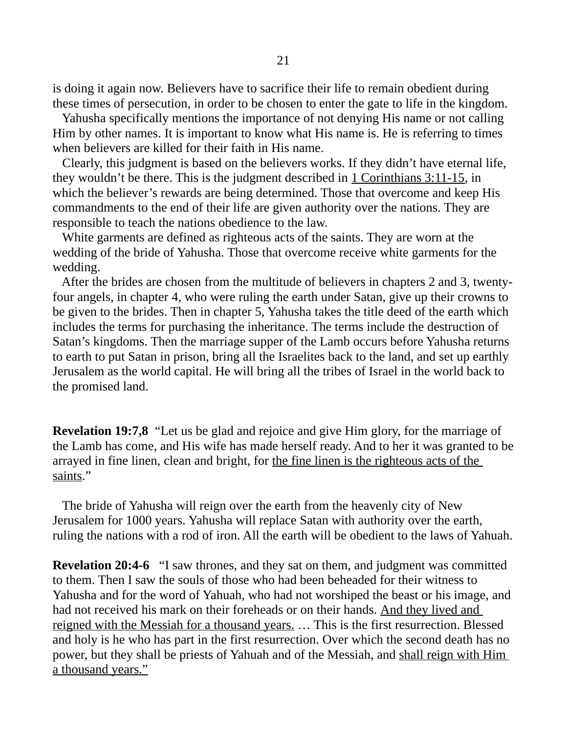is doing it again now. Believers have to sacrifice their life to remain obedient during these times of persecution, in order to be chosen to enter the gate to life in the kingdom.

 Yahusha specifically mentions the importance of not denying His name or not calling Him by other names. It is important to know what His name is. He is referring to times when believers are killed for their faith in His name.

 Clearly, this judgment is based on the believers works. If they didn't have eternal life, they wouldn't be there. This is the judgment described in  $1$  Corinthians  $3:11-15$ , in which the believer's rewards are being determined. Those that overcome and keep His commandments to the end of their life are given authority over the nations. They are responsible to teach the nations obedience to the law.

 White garments are defined as righteous acts of the saints. They are worn at the wedding of the bride of Yahusha. Those that overcome receive white garments for the wedding.

 After the brides are chosen from the multitude of believers in chapters 2 and 3, twentyfour angels, in chapter 4, who were ruling the earth under Satan, give up their crowns to be given to the brides. Then in chapter 5, Yahusha takes the title deed of the earth which includes the terms for purchasing the inheritance. The terms include the destruction of Satan's kingdoms. Then the marriage supper of the Lamb occurs before Yahusha returns to earth to put Satan in prison, bring all the Israelites back to the land, and set up earthly Jerusalem as the world capital. He will bring all the tribes of Israel in the world back to the promised land.

**Revelation 19:7,8** "Let us be glad and rejoice and give Him glory, for the marriage of the Lamb has come, and His wife has made herself ready. And to her it was granted to be arrayed in fine linen, clean and bright, for the fine linen is the righteous acts of the saints."

 The bride of Yahusha will reign over the earth from the heavenly city of New Jerusalem for 1000 years. Yahusha will replace Satan with authority over the earth, ruling the nations with a rod of iron. All the earth will be obedient to the laws of Yahuah.

**Revelation 20:4-6** "I saw thrones, and they sat on them, and judgment was committed to them. Then I saw the souls of those who had been beheaded for their witness to Yahusha and for the word of Yahuah, who had not worshiped the beast or his image, and had not received his mark on their foreheads or on their hands. And they lived and reigned with the Messiah for a thousand years. … This is the first resurrection. Blessed and holy is he who has part in the first resurrection. Over which the second death has no power, but they shall be priests of Yahuah and of the Messiah, and shall reign with Him a thousand years."